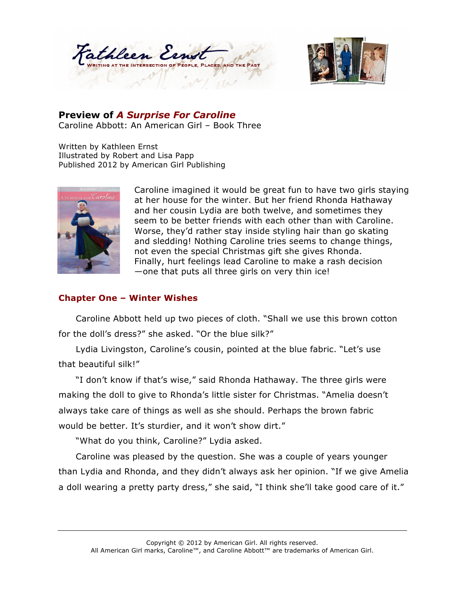



## **Preview of** *A Surprise For Caroline* Caroline Abbott: An American Girl – Book Three

Written by Kathleen Ernst Illustrated by Robert and Lisa Papp Published 2012 by American Girl Publishing



Caroline imagined it would be great fun to have two girls staying at her house for the winter. But her friend Rhonda Hathaway and her cousin Lydia are both twelve, and sometimes they seem to be better friends with each other than with Caroline. Worse, they'd rather stay inside styling hair than go skating and sledding! Nothing Caroline tries seems to change things, not even the special Christmas gift she gives Rhonda. Finally, hurt feelings lead Caroline to make a rash decision —one that puts all three girls on very thin ice!

## **Chapter One – Winter Wishes**

Caroline Abbott held up two pieces of cloth. "Shall we use this brown cotton for the doll's dress?" she asked. "Or the blue silk?"

Lydia Livingston, Caroline's cousin, pointed at the blue fabric. "Let's use that beautiful silk!"

"I don't know if that's wise," said Rhonda Hathaway. The three girls were making the doll to give to Rhonda's little sister for Christmas. "Amelia doesn't always take care of things as well as she should. Perhaps the brown fabric would be better. It's sturdier, and it won't show dirt."

"What do you think, Caroline?" Lydia asked.

Caroline was pleased by the question. She was a couple of years younger than Lydia and Rhonda, and they didn't always ask her opinion. "If we give Amelia a doll wearing a pretty party dress," she said, "I think she'll take good care of it."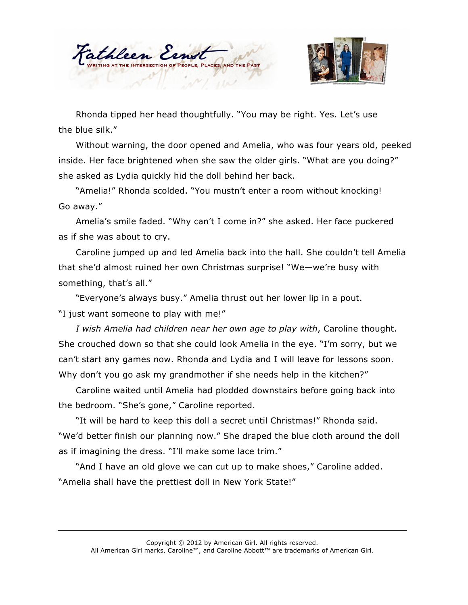



Rhonda tipped her head thoughtfully. "You may be right. Yes. Let's use the blue silk."

Without warning, the door opened and Amelia, who was four years old, peeked inside. Her face brightened when she saw the older girls. "What are you doing?" she asked as Lydia quickly hid the doll behind her back.

"Amelia!" Rhonda scolded. "You mustn't enter a room without knocking! Go away."

Amelia's smile faded. "Why can't I come in?" she asked. Her face puckered as if she was about to cry.

Caroline jumped up and led Amelia back into the hall. She couldn't tell Amelia that she'd almost ruined her own Christmas surprise! "We—we're busy with something, that's all."

"Everyone's always busy." Amelia thrust out her lower lip in a pout. "I just want someone to play with me!"

*I wish Amelia had children near her own age to play with*, Caroline thought. She crouched down so that she could look Amelia in the eye. "I'm sorry, but we can't start any games now. Rhonda and Lydia and I will leave for lessons soon. Why don't you go ask my grandmother if she needs help in the kitchen?"

Caroline waited until Amelia had plodded downstairs before going back into the bedroom. "She's gone," Caroline reported.

"It will be hard to keep this doll a secret until Christmas!" Rhonda said. "We'd better finish our planning now." She draped the blue cloth around the doll as if imagining the dress. "I'll make some lace trim."

"And I have an old glove we can cut up to make shoes," Caroline added. "Amelia shall have the prettiest doll in New York State!"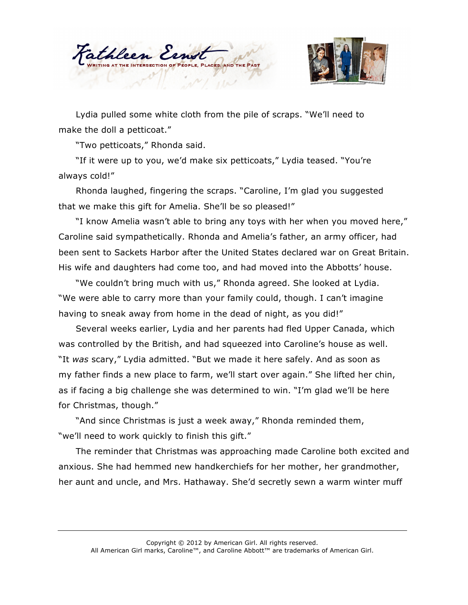



Lydia pulled some white cloth from the pile of scraps. "We'll need to make the doll a petticoat."

"Two petticoats," Rhonda said.

"If it were up to you, we'd make six petticoats," Lydia teased. "You're always cold!"

Rhonda laughed, fingering the scraps. "Caroline, I'm glad you suggested that we make this gift for Amelia. She'll be so pleased!"

"I know Amelia wasn't able to bring any toys with her when you moved here," Caroline said sympathetically. Rhonda and Amelia's father, an army officer, had been sent to Sackets Harbor after the United States declared war on Great Britain. His wife and daughters had come too, and had moved into the Abbotts' house.

"We couldn't bring much with us," Rhonda agreed. She looked at Lydia. "We were able to carry more than your family could, though. I can't imagine having to sneak away from home in the dead of night, as you did!"

Several weeks earlier, Lydia and her parents had fled Upper Canada, which was controlled by the British, and had squeezed into Caroline's house as well. "It *was* scary," Lydia admitted. "But we made it here safely. And as soon as my father finds a new place to farm, we'll start over again." She lifted her chin, as if facing a big challenge she was determined to win. "I'm glad we'll be here for Christmas, though."

"And since Christmas is just a week away," Rhonda reminded them, "we'll need to work quickly to finish this gift."

The reminder that Christmas was approaching made Caroline both excited and anxious. She had hemmed new handkerchiefs for her mother, her grandmother, her aunt and uncle, and Mrs. Hathaway. She'd secretly sewn a warm winter muff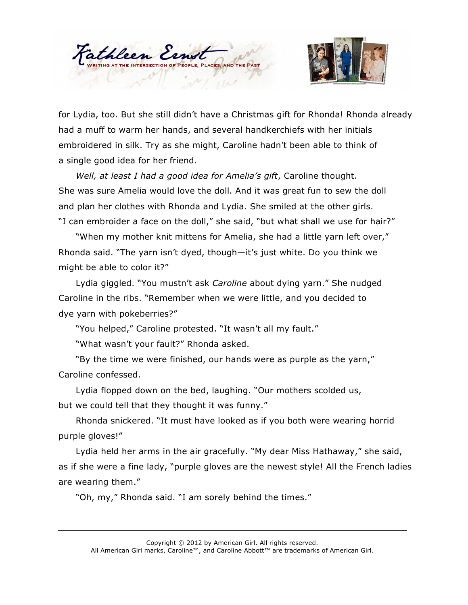athleen E **RECTION OF PEOPLE, PLACES, AND THE PAST** 



for Lydia, too. But she still didn't have a Christmas gift for Rhonda! Rhonda already had a muff to warm her hands, and several handkerchiefs with her initials embroidered in silk. Try as she might, Caroline hadn't been able to think of a single good idea for her friend.

*Well, at least I had a good idea for Amelia's gift*, Caroline thought. She was sure Amelia would love the doll. And it was great fun to sew the doll and plan her clothes with Rhonda and Lydia. She smiled at the other girls. "I can embroider a face on the doll," she said, "but what shall we use for hair?"

"When my mother knit mittens for Amelia, she had a little yarn left over," Rhonda said. "The yarn isn't dyed, though—it's just white. Do you think we might be able to color it?"

Lydia giggled. "You mustn't ask *Caroline* about dying yarn." She nudged Caroline in the ribs. "Remember when we were little, and you decided to dye yarn with pokeberries?"

"You helped," Caroline protested. "It wasn't all my fault."

"What wasn't your fault?" Rhonda asked.

"By the time we were finished, our hands were as purple as the yarn," Caroline confessed.

Lydia flopped down on the bed, laughing. "Our mothers scolded us, but we could tell that they thought it was funny."

Rhonda snickered. "It must have looked as if you both were wearing horrid purple gloves!"

Lydia held her arms in the air gracefully. "My dear Miss Hathaway," she said, as if she were a fine lady, "purple gloves are the newest style! All the French ladies are wearing them."

"Oh, my," Rhonda said. "I am sorely behind the times."